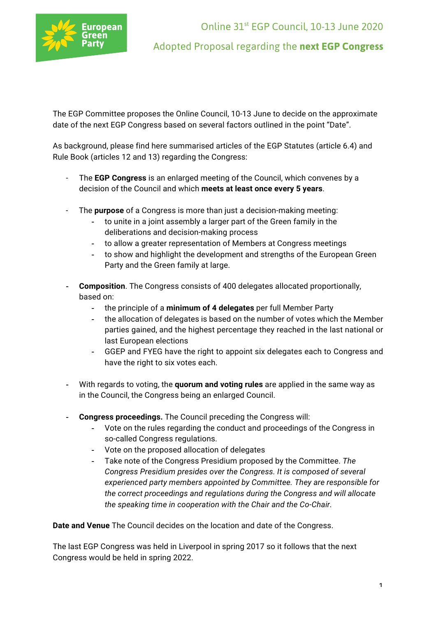

Online 31st EGP Council, 10-13 June 2020 Adopted Proposal regarding the **next EGP Congress**

The EGP Committee proposes the Online Council, 10-13 June to decide on the approximate date of the next EGP Congress based on several factors outlined in the point "Date".

As background, please find here summarised articles of the EGP Statutes (article 6.4) and Rule Book (articles 12 and 13) regarding the Congress:

- The **EGP Congress** is an enlarged meeting of the Council, which convenes by a decision of the Council and which **meets at least once every 5 years**.
- The **purpose** of a Congress is more than just a decision-making meeting:
	- to unite in a joint assembly a larger part of the Green family in the deliberations and decision-making process
	- to allow a greater representation of Members at Congress meetings
	- to show and highlight the development and strengths of the European Green Party and the Green family at large.
- **Composition**. The Congress consists of 400 delegates allocated proportionally, based on:
	- the principle of a **minimum of 4 delegates** per full Member Party
	- the allocation of delegates is based on the number of votes which the Member parties gained, and the highest percentage they reached in the last national or last European elections
	- GGEP and FYEG have the right to appoint six delegates each to Congress and have the right to six votes each.
- With regards to voting, the **quorum and voting rules** are applied in the same way as in the Council, the Congress being an enlarged Council.
- **Congress proceedings.** The Council preceding the Congress will:
	- Vote on the rules regarding the conduct and proceedings of the Congress in so-called Congress regulations.
	- Vote on the proposed allocation of delegates
	- Take note of the Congress Presidium proposed by the Committee. *The Congress Presidium presides over the Congress. It is composed of several experienced party members appointed by Committee. They are responsible for the correct proceedings and regulations during the Congress and will allocate the speaking time in cooperation with the Chair and the Co-Chair.*

**Date and Venue** The Council decides on the location and date of the Congress.

The last EGP Congress was held in Liverpool in spring 2017 so it follows that the next Congress would be held in spring 2022.